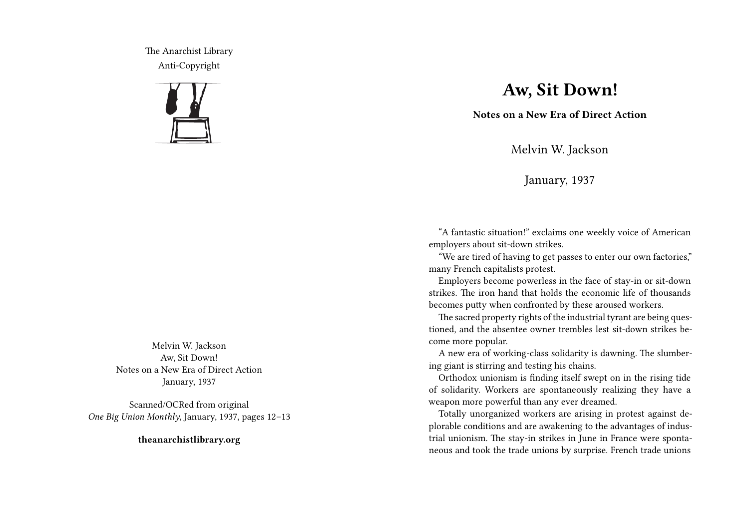The Anarchist Library Anti-Copyright



Melvin W. Jackson Aw, Sit Down! Notes on a New Era of Direct Action January, 1937

Scanned/OCRed from original *One Big Union Monthly*, January, 1937, pages 12–13

**theanarchistlibrary.org**

## **Aw, Sit Down!**

**Notes on a New Era of Direct Action**

Melvin W. Jackson

January, 1937

"A fantastic situation!" exclaims one weekly voice of American employers about sit-down strikes.

"We are tired of having to get passes to enter our own factories," many French capitalists protest.

Employers become powerless in the face of stay-in or sit-down strikes. The iron hand that holds the economic life of thousands becomes putty when confronted by these aroused workers.

The sacred property rights of the industrial tyrant are being questioned, and the absentee owner trembles lest sit-down strikes become more popular.

A new era of working-class solidarity is dawning. The slumbering giant is stirring and testing his chains.

Orthodox unionism is finding itself swept on in the rising tide of solidarity. Workers are spontaneously realizing they have a weapon more powerful than any ever dreamed.

Totally unorganized workers are arising in protest against deplorable conditions and are awakening to the advantages of industrial unionism. The stay-in strikes in June in France were spontaneous and took the trade unions by surprise. French trade unions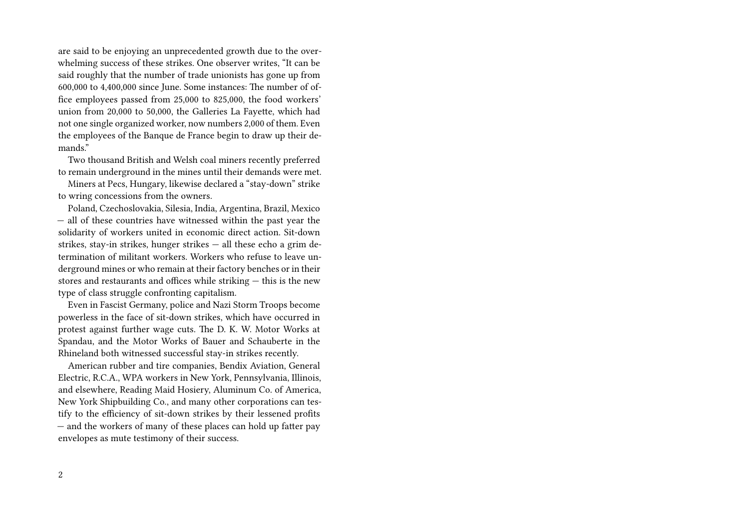are said to be enjoying an unprecedented growth due to the overwhelming success of these strikes. One observer writes, "It can be said roughly that the number of trade unionists has gone up from 600,000 to 4,400,000 since June. Some instances: The number of office employees passed from 25,000 to 825,000, the food workers' union from 20,000 to 50,000, the Galleries La Fayette, which had not one single organized worker, now numbers 2,000 of them. Even the employees of the Banque de France begin to draw up their demands."

Two thousand British and Welsh coal miners recently preferred to remain underground in the mines until their demands were met.

Miners at Pecs, Hungary, likewise declared a "stay-down" strike to wring concessions from the owners.

Poland, Czechoslovakia, Silesia, India, Argentina, Brazil, Mexico — all of these countries have witnessed within the past year the solidarity of workers united in economic direct action. Sit-down strikes, stay-in strikes, hunger strikes — all these echo a grim determination of militant workers. Workers who refuse to leave underground mines or who remain at their factory benches or in their stores and restaurants and offices while striking — this is the new type of class struggle confronting capitalism.

Even in Fascist Germany, police and Nazi Storm Troops become powerless in the face of sit-down strikes, which have occurred in protest against further wage cuts. The D. K. W. Motor Works at Spandau, and the Motor Works of Bauer and Schauberte in the Rhineland both witnessed successful stay-in strikes recently.

American rubber and tire companies, Bendix Aviation, General Electric, R.C.A., WPA workers in New York, Pennsylvania, Illinois, and elsewhere, Reading Maid Hosiery, Aluminum Co. of America, New York Shipbuilding Co., and many other corporations can testify to the efficiency of sit-down strikes by their lessened profits — and the workers of many of these places can hold up fatter pay envelopes as mute testimony of their success.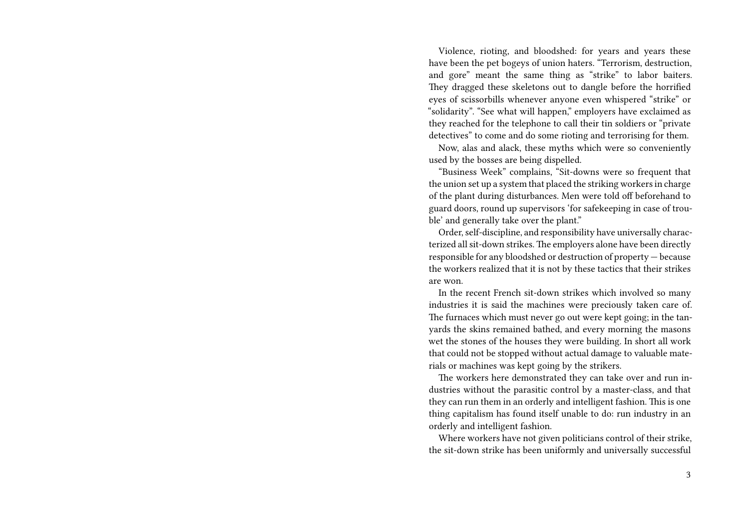Violence, rioting, and bloodshed: for years and years these have been the pet bogeys of union haters. "Terrorism, destruction, and gore" meant the same thing as "strike" to labor baiters. They dragged these skeletons out to dangle before the horrified eyes of scissorbills whenever anyone even whispered "strike" or "solidarity". "See what will happen," employers have exclaimed as they reached for the telephone to call their tin soldiers or "private detectives" to come and do some rioting and terrorising for them.

Now, alas and alack, these myths which were so conveniently used by the bosses are being dispelled.

"Business Week" complains, "Sit-downs were so frequent that the union set up a system that placed the striking workers in charge of the plant during disturbances. Men were told off beforehand to guard doors, round up supervisors 'for safekeeping in case of trouble' and generally take over the plant."

Order, self-discipline, and responsibility have universally characterized all sit-down strikes. The employers alone have been directly responsible for any bloodshed or destruction of property — because the workers realized that it is not by these tactics that their strikes are won.

In the recent French sit-down strikes which involved so many industries it is said the machines were preciously taken care of. The furnaces which must never go out were kept going; in the tanyards the skins remained bathed, and every morning the masons wet the stones of the houses they were building. In short all work that could not be stopped without actual damage to valuable materials or machines was kept going by the strikers.

The workers here demonstrated they can take over and run industries without the parasitic control by a master-class, and that they can run them in an orderly and intelligent fashion. This is one thing capitalism has found itself unable to do: run industry in an orderly and intelligent fashion.

Where workers have not given politicians control of their strike, the sit-down strike has been uniformly and universally successful